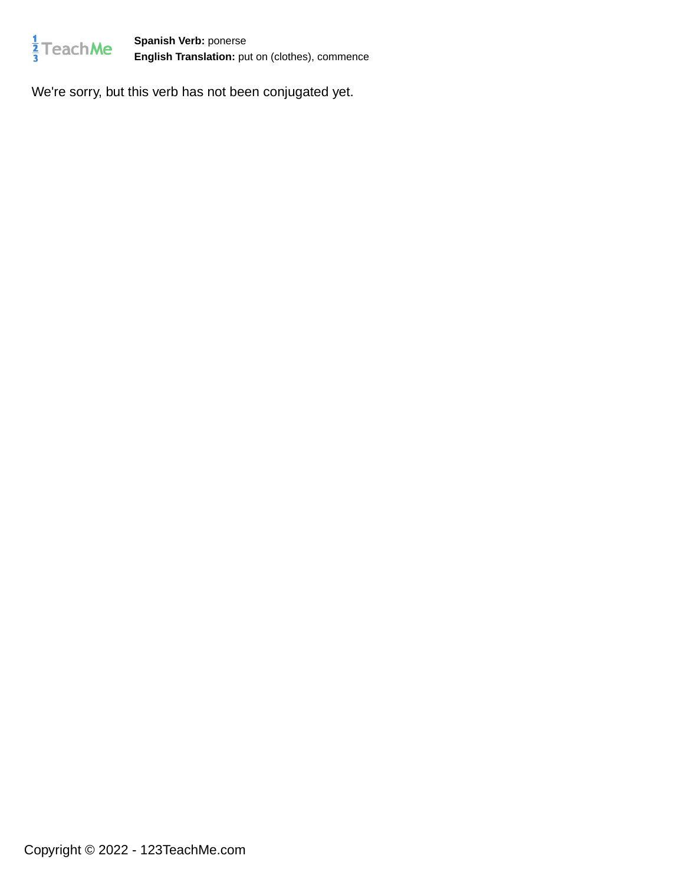

**Spanish Verb:** ponerse **English Translation:** put on (clothes), commence

We're sorry, but this verb has not been conjugated yet.